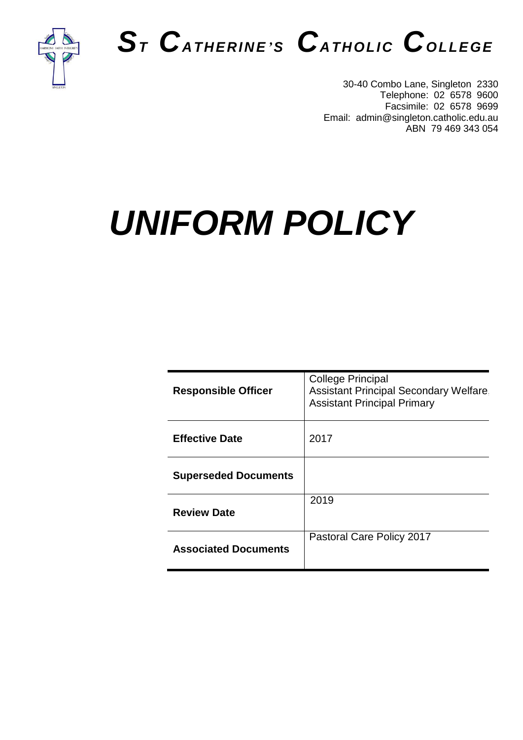

# *S<sup>T</sup> CATHERINE'<sup>S</sup> CATHOLIC COLLEGE*

30-40 Combo Lane, Singleton 2330 Telephone: 02 6578 9600 Facsimile: 02 6578 9699 Email: admin@singleton.catholic.edu.au ABN 79 469 343 054

# *UNIFORM POLICY*

| <b>Responsible Officer</b>  | <b>College Principal</b><br><b>Assistant Principal Secondary Welfare</b><br><b>Assistant Principal Primary</b> |
|-----------------------------|----------------------------------------------------------------------------------------------------------------|
| <b>Effective Date</b>       | 2017                                                                                                           |
| <b>Superseded Documents</b> |                                                                                                                |
| <b>Review Date</b>          | 2019                                                                                                           |
| <b>Associated Documents</b> | Pastoral Care Policy 2017                                                                                      |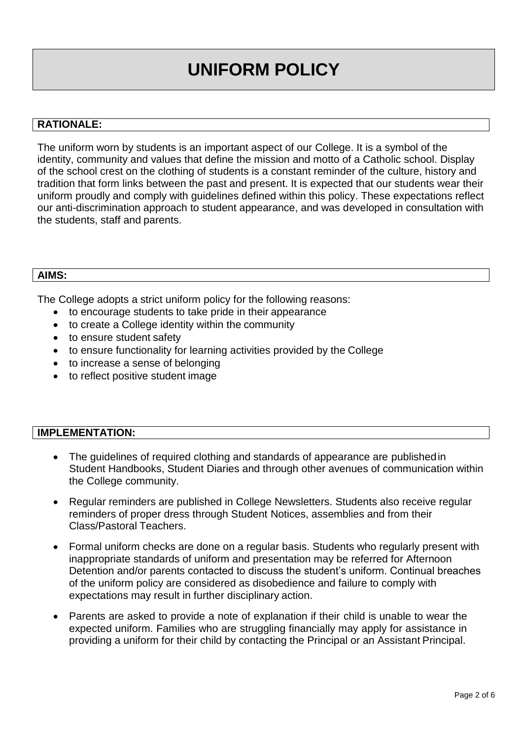# **UNIFORM POLICY**

#### **RATIONALE:**

The uniform worn by students is an important aspect of our College. It is a symbol of the identity, community and values that define the mission and motto of a Catholic school. Display of the school crest on the clothing of students is a constant reminder of the culture, history and tradition that form links between the past and present. It is expected that our students wear their uniform proudly and comply with guidelines defined within this policy. These expectations reflect our anti-discrimination approach to student appearance, and was developed in consultation with the students, staff and parents.

#### **AIMS:**

The College adopts a strict uniform policy for the following reasons:

- to encourage students to take pride in their appearance
- to create a College identity within the community
- to ensure student safety
- to ensure functionality for learning activities provided by the College
- to increase a sense of belonging
- to reflect positive student image

#### **IMPLEMENTATION:**

- The guidelines of required clothing and standards of appearance are publishedin Student Handbooks, Student Diaries and through other avenues of communication within the College community.
- Regular reminders are published in College Newsletters. Students also receive regular reminders of proper dress through Student Notices, assemblies and from their Class/Pastoral Teachers.
- Formal uniform checks are done on a regular basis. Students who regularly present with inappropriate standards of uniform and presentation may be referred for Afternoon Detention and/or parents contacted to discuss the student's uniform. Continual breaches of the uniform policy are considered as disobedience and failure to comply with expectations may result in further disciplinary action.
- Parents are asked to provide a note of explanation if their child is unable to wear the expected uniform. Families who are struggling financially may apply for assistance in providing a uniform for their child by contacting the Principal or an Assistant Principal.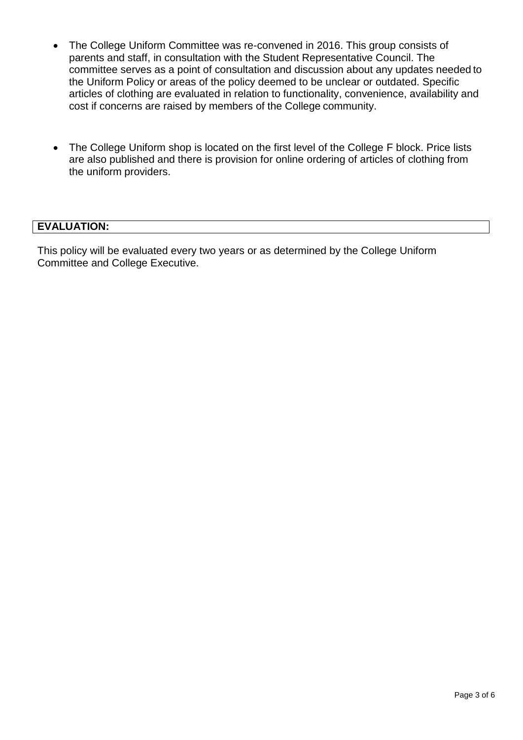- The College Uniform Committee was re-convened in 2016. This group consists of parents and staff, in consultation with the Student Representative Council. The committee serves as a point of consultation and discussion about any updates needed to the Uniform Policy or areas of the policy deemed to be unclear or outdated. Specific articles of clothing are evaluated in relation to functionality, convenience, availability and cost if concerns are raised by members of the College community.
- The College Uniform shop is located on the first level of the College F block. Price lists are also published and there is provision for online ordering of articles of clothing from the uniform providers.

#### **EVALUATION:**

This policy will be evaluated every two years or as determined by the College Uniform Committee and College Executive.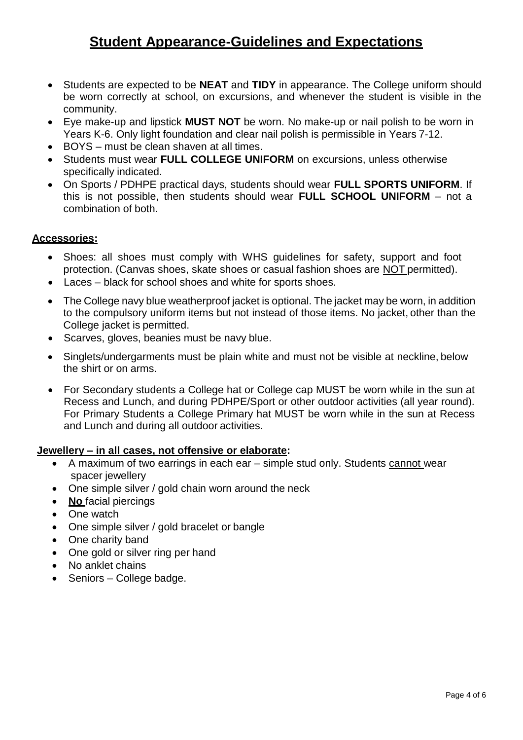### **Student Appearance-Guidelines and Expectations**

- Students are expected to be **NEAT** and **TIDY** in appearance. The College uniform should be worn correctly at school, on excursions, and whenever the student is visible in the community.
- Eye make-up and lipstick **MUST NOT** be worn. No make-up or nail polish to be worn in Years K-6. Only light foundation and clear nail polish is permissible in Years 7-12.
- BOYS must be clean shaven at all times.
- Students must wear **FULL COLLEGE UNIFORM** on excursions, unless otherwise specifically indicated.
- On Sports / PDHPE practical days, students should wear **FULL SPORTS UNIFORM**. If this is not possible, then students should wear **FULL SCHOOL UNIFORM** – not a combination of both.

#### **Accessories:**

- Shoes: all shoes must comply with WHS guidelines for safety, support and foot protection. (Canvas shoes, skate shoes or casual fashion shoes are NOT permitted).
- Laces black for school shoes and white for sports shoes.
- The College navy blue weatherproof jacket is optional. The jacket may be worn, in addition to the compulsory uniform items but not instead of those items. No jacket, other than the College jacket is permitted.
- Scarves, gloves, beanies must be navy blue.
- Singlets/undergarments must be plain white and must not be visible at neckline, below the shirt or on arms.
- For Secondary students a College hat or College cap MUST be worn while in the sun at Recess and Lunch, and during PDHPE/Sport or other outdoor activities (all year round). For Primary Students a College Primary hat MUST be worn while in the sun at Recess and Lunch and during all outdoor activities.

#### **Jewellery – in all cases, not offensive or elaborate:**

- A maximum of two earrings in each ear simple stud only. Students cannot wear spacer jewellery
- One simple silver / gold chain worn around the neck
- **No** facial piercings
- One watch
- One simple silver / gold bracelet or bangle
- One charity band
- One gold or silver ring per hand
- No anklet chains
- Seniors College badge.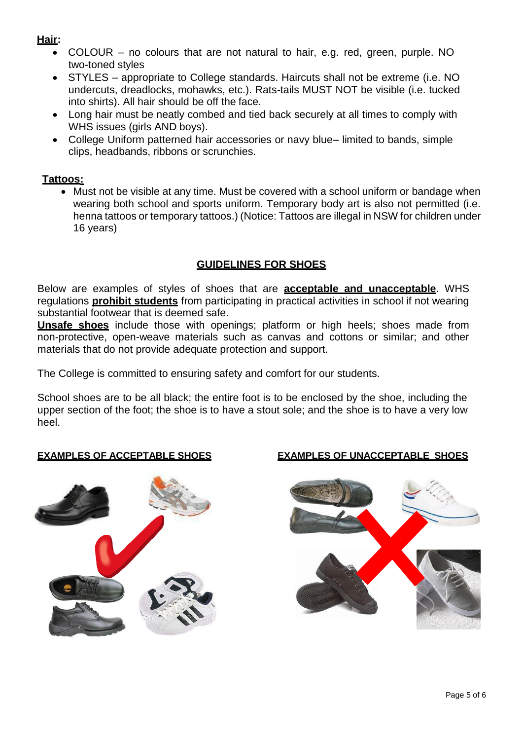### **Hair:**

- COLOUR no colours that are not natural to hair, e.g. red, green, purple. NO two-toned styles
- STYLES appropriate to College standards. Haircuts shall not be extreme (i.e. NO undercuts, dreadlocks, mohawks, etc.). Rats-tails MUST NOT be visible (i.e. tucked into shirts). All hair should be off the face.
- Long hair must be neatly combed and tied back securely at all times to comply with WHS issues (girls AND boys).
- College Uniform patterned hair accessories or navy blue– limited to bands, simple clips, headbands, ribbons or scrunchies.

#### **Tattoos:**

• Must not be visible at any time. Must be covered with a school uniform or bandage when wearing both school and sports uniform. Temporary body art is also not permitted (i.e. henna tattoos or temporary tattoos.) (Notice: Tattoos are illegal in NSW for children under 16 years)

### **GUIDELINES FOR SHOES**

Below are examples of styles of shoes that are **acceptable and unacceptable**. WHS regulations **prohibit students** from participating in practical activities in school if not wearing substantial footwear that is deemed safe.

**Unsafe shoes** include those with openings; platform or high heels; shoes made from non-protective, open-weave materials such as canvas and cottons or similar; and other materials that do not provide adequate protection and support.

The College is committed to ensuring safety and comfort for our students.

School shoes are to be all black; the entire foot is to be enclosed by the shoe, including the upper section of the foot; the shoe is to have a stout sole; and the shoe is to have a very low heel.



#### **EXAMPLES OF ACCEPTABLE SHOES EXAMPLES OF UNACCEPTABLE SHOES**